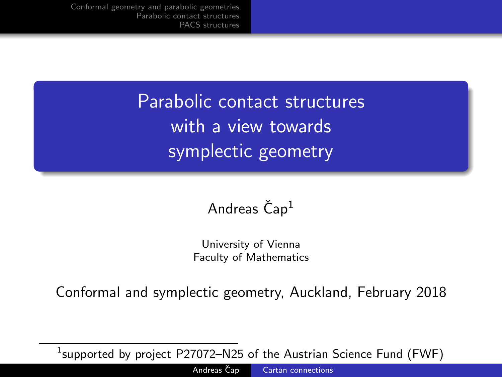<span id="page-0-0"></span>Parabolic contact structures with a view towards symplectic geometry

## Andreas  $\check{C}$ ap<sup>1</sup>

University of Vienna Faculty of Mathematics

Conformal and symplectic geometry, Auckland, February 2018

 $^1$ supported by project <code>P27072–N25</code> of the Austrian Science Fund (FWF)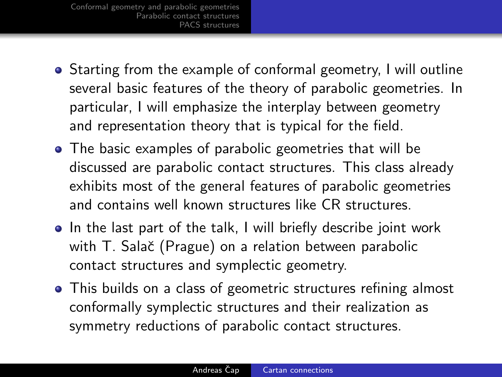[Conformal geometry and parabolic geometries](#page-3-0) [Parabolic contact structures](#page-7-0) [PACS structures](#page-12-0)

- Starting from the example of conformal geometry, I will outline several basic features of the theory of parabolic geometries. In particular, I will emphasize the interplay between geometry and representation theory that is typical for the field.
- The basic examples of parabolic geometries that will be discussed are parabolic contact structures. This class already exhibits most of the general features of parabolic geometries and contains well known structures like CR structures.
- In the last part of the talk, I will briefly describe joint work with T. Salač (Prague) on a relation between parabolic contact structures and symplectic geometry.
- This builds on a class of geometric structures refining almost conformally symplectic structures and their realization as symmetry reductions of parabolic contact structures.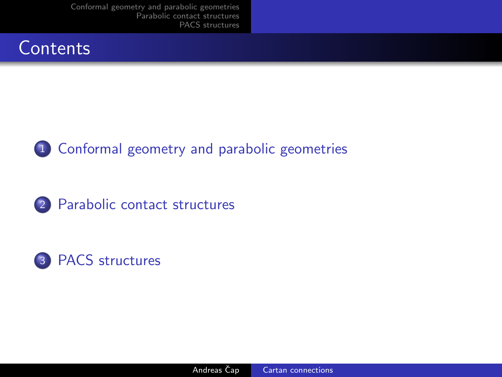[Conformal geometry and parabolic geometries](#page-3-0) [Parabolic contact structures](#page-7-0) [PACS structures](#page-12-0)







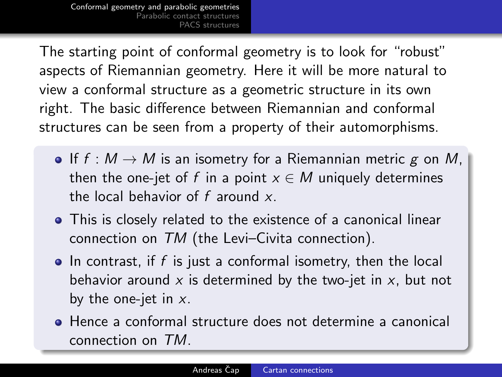<span id="page-3-0"></span>[Conformal geometry and parabolic geometries](#page-3-0) Parabolic contact struct [PACS structures](#page-12-0)

The starting point of conformal geometry is to look for "robust" aspects of Riemannian geometry. Here it will be more natural to view a conformal structure as a geometric structure in its own right. The basic difference between Riemannian and conformal structures can be seen from a property of their automorphisms.

- If  $f : M \to M$  is an isometry for a Riemannian metric g on M, then the one-jet of f in a point  $x \in M$  uniquely determines the local behavior of  $f$  around  $x$ .
- This is closely related to the existence of a canonical linear connection on TM (the Levi–Civita connection).
- $\bullet$  In contrast, if f is just a conformal isometry, then the local behavior around x is determined by the two-jet in  $x$ , but not by the one-jet in  $x$ .
- Hence a conformal structure does not determine a canonical connection on TM.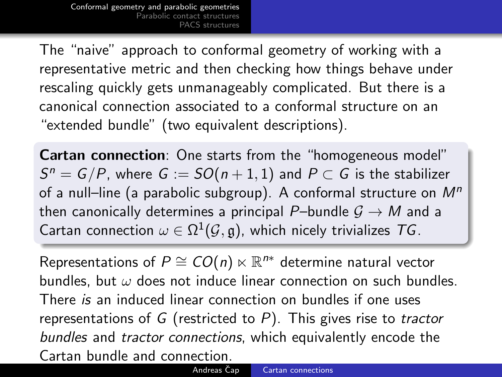[Conformal geometry and parabolic geometries](#page-3-0) Parabolic contact stru [PACS structures](#page-12-0)

The "naive" approach to conformal geometry of working with a representative metric and then checking how things behave under rescaling quickly gets unmanageably complicated. But there is a canonical connection associated to a conformal structure on an "extended bundle" (two equivalent descriptions).

Cartan connection: One starts from the "homogeneous model"  $S^n = G/P$ , where  $G := SO(n+1,1)$  and  $P \subset G$  is the stabilizer of a null-line (a parabolic subgroup). A conformal structure on  $M<sup>n</sup>$ then canonically determines a principal P–bundle  $G \rightarrow M$  and a Cartan connection  $\omega \in \Omega^1(\mathcal{G},\mathfrak{g})$ , which nicely trivializes  $\mathcal{T} G$ .

Representations of  $P \cong CO(n) \ltimes \mathbb{R}^{n*}$  determine natural vector bundles, but  $\omega$  does not induce linear connection on such bundles. There is an induced linear connection on bundles if one uses representations of G (restricted to  $P$ ). This gives rise to tractor bundles and tractor connections, which equivalently encode the Cartan bundle and connection.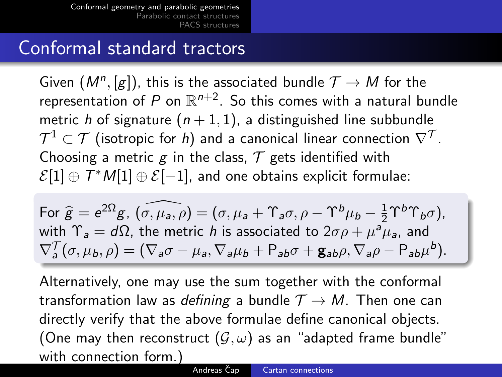[Conformal geometry and parabolic geometries](#page-3-0) Parabolic contact struc  $\sim$ S $\epsilon$ tructures

## Conformal standard tractors

Given  $(M^n, [g])$ , this is the associated bundle  $\mathcal{T} \to M$  for the representation of  $P$  on  $\mathbb{R}^{n+2}.$  So this comes with a natural bundle metric h of signature  $(n + 1, 1)$ , a distinguished line subbundle  $\mathcal{T}^1\subset\mathcal{T}$  (isotropic for  $h)$  and a canonical linear connection  $\nabla^\mathcal{T}.$ Choosing a metric g in the class,  $\mathcal T$  gets identified with  $\mathcal{E}[1]\oplus \mathcal{T}^*\mathcal{M}[1]\oplus \mathcal{E}[-1]$ , and one obtains explicit formulae:

For 
$$
\hat{g} = e^{2\Omega}g
$$
,  $(\widehat{\sigma}, \mu_a, \rho) = (\sigma, \mu_a + \Upsilon_a \sigma, \rho - \Upsilon^b \mu_b - \frac{1}{2} \Upsilon^b \Upsilon_b \sigma)$ ,  
with  $\Upsilon_a = d\Omega$ , the metric *h* is associated to  $2\sigma \rho + \mu^a \mu_a$ , and  
 $\nabla^T_a(\sigma, \mu_b, \rho) = (\nabla_a \sigma - \mu_a, \nabla_a \mu_b + \mathsf{P}_{ab} \sigma + \mathsf{g}_{ab} \rho, \nabla_a \rho - \mathsf{P}_{ab} \mu^b)$ .

Alternatively, one may use the sum together with the conformal transformation law as defining a bundle  $\mathcal{T} \rightarrow M$ . Then one can directly verify that the above formulae define canonical objects. (One may then reconstruct  $(\mathcal{G}, \omega)$  as an "adapted frame bundle" with connection form.)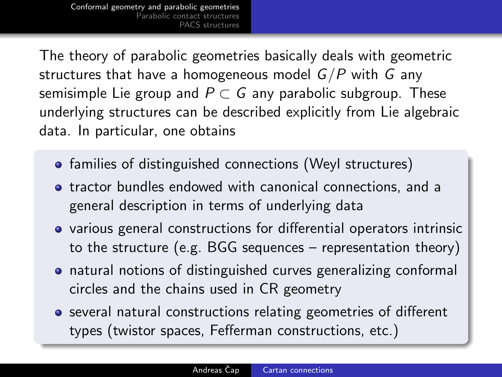[Conformal geometry and parabolic geometries](#page-3-0) [Parabolic contact structures](#page-7-0) [PACS structures](#page-12-0)

The theory of parabolic geometries basically deals with geometric structures that have a homogeneous model  $G/P$  with G any semisimple Lie group and  $P \subset G$  any parabolic subgroup. These underlying structures can be described explicitly from Lie algebraic data. In particular, one obtains

- families of distinguished connections (Weyl structures)
- **•** tractor bundles endowed with canonical connections, and a general description in terms of underlying data
- various general constructions for differential operators intrinsic to the structure (e.g. BGG sequences – representation theory)
- natural notions of distinguished curves generalizing conformal circles and the chains used in CR geometry
- several natural constructions relating geometries of different types (twistor spaces, Fefferman constructions, etc.)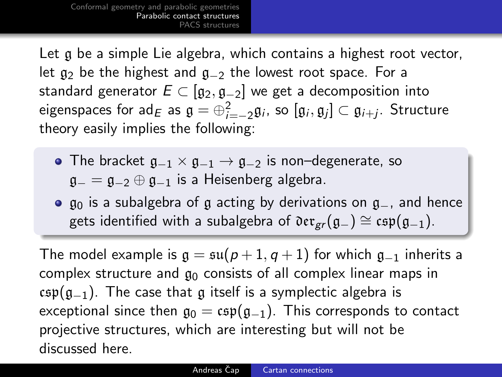<span id="page-7-0"></span>Let g be a simple Lie algebra, which contains a highest root vector, let  $g_2$  be the highest and  $g_{-2}$  the lowest root space. For a standard generator  $E \subset [g_2, g_{-2}]$  we get a decomposition into eigenspaces for ad $_E$  as  $\mathfrak{g}=\oplus_{i=-2}^2\mathfrak{g}_i$ , so  $[\mathfrak{g}_i,\mathfrak{g}_j]\subset\mathfrak{g}_{i+j}.$  Structure theory easily implies the following:

- The bracket  $g_{-1} \times g_{-1} \rightarrow g_{-2}$  is non–degenerate, so  $a_-=a_{-2}\oplus a_{-1}$  is a Heisenberg algebra.
- **•**  $\mathfrak{g}_0$  is a subalgebra of  $\mathfrak{g}$  acting by derivations on  $\mathfrak{g}_-$ , and hence gets identified with a subalgebra of  $\mathfrak{der}_{gr}(\mathfrak{g}_-) \cong \mathfrak{csp}(\mathfrak{g}_{-1}).$

The model example is  $\mathfrak{g} = \mathfrak{su}(p+1,q+1)$  for which  $\mathfrak{g}_{-1}$  inherits a complex structure and  $g_0$  consists of all complex linear maps in  $csp(q_{-1})$ . The case that g itself is a symplectic algebra is exceptional since then  $g_0 = \exp(g_{-1})$ . This corresponds to contact projective structures, which are interesting but will not be discussed here.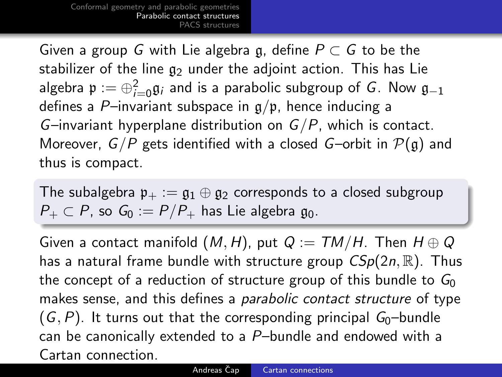Given a group G with Lie algebra g, define  $P \subset G$  to be the stabilizer of the line  $g_2$  under the adjoint action. This has Lie algebra  $\mathfrak{p}:=\oplus_{i=0}^2\mathfrak{g}_i$  and is a parabolic subgroup of  $G.$  Now  $\mathfrak{g}_{-1}$ defines a P-invariant subspace in  $g/p$ , hence inducing a G–invariant hyperplane distribution on  $G/P$ , which is contact. Moreover,  $G/P$  gets identified with a closed G-orbit in  $P(\mathfrak{g})$  and thus is compact.

The subalgebra  $\mathfrak{p}_+ := \mathfrak{g}_1 \oplus \mathfrak{g}_2$  corresponds to a closed subgroup  $P_+ \subset P$ , so  $G_0 := P/P_+$  has Lie algebra  $\mathfrak{g}_0$ .

Given a contact manifold  $(M, H)$ , put  $Q := TM/H$ . Then  $H \oplus Q$ has a natural frame bundle with structure group  $CSp(2n,\mathbb{R})$ . Thus the concept of a reduction of structure group of this bundle to  $G_0$ makes sense, and this defines a *parabolic contact structure* of type  $(G, P)$ . It turns out that the corresponding principal  $G_0$ -bundle can be canonically extended to a P–bundle and endowed with a Cartan connection.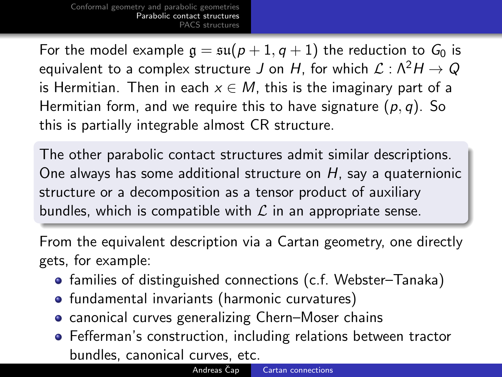For the model example  $g = \mathfrak{su}(p + 1, q + 1)$  the reduction to  $G_0$  is equivalent to a complex structure J on H, for which  $\mathcal{L} : \Lambda^2 H \to Q$ is Hermitian. Then in each  $x \in M$ , this is the imaginary part of a Hermitian form, and we require this to have signature  $(p, q)$ . So this is partially integrable almost CR structure.

The other parabolic contact structures admit similar descriptions. One always has some additional structure on H, say a quaternionic structure or a decomposition as a tensor product of auxiliary bundles, which is compatible with  $\mathcal L$  in an appropriate sense.

From the equivalent description via a Cartan geometry, one directly gets, for example:

- **•** families of distinguished connections (c.f. Webster–Tanaka)
- **•** fundamental invariants (harmonic curvatures)
- **•** canonical curves generalizing Chern–Moser chains
- Fefferman's construction, including relations between tractor bundles, canonical curves, etc.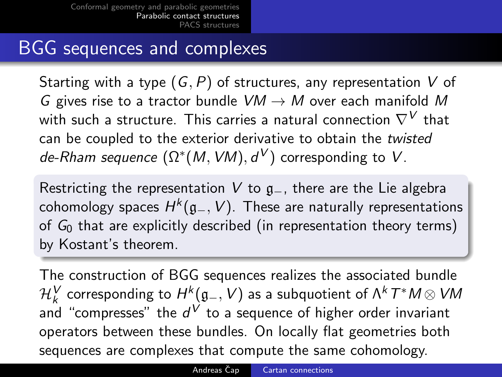## BGG sequences and complexes

Starting with a type  $(G, P)$  of structures, any representation V of G gives rise to a tractor bundle  $VM \rightarrow M$  over each manifold M with such a structure. This carries a natural connection  $\nabla^{V}$  that can be coupled to the exterior derivative to obtain the twisted de-Rham sequence  $(\Omega^*(M,VM), d^V)$  corresponding to  $V$ .

Restricting the representation V to  $g_-,$  there are the Lie algebra cohomology spaces  $H^k(\mathfrak{g}_-,V).$  These are naturally representations of  $G_0$  that are explicitly described (in representation theory terms) by Kostant's theorem.

The construction of BGG sequences realizes the associated bundle  $\mathcal{H}^{\pmb{V}}_k$  corresponding to  $H^k(\mathfrak{g}_-,V)$  as a subquotient of  $\mathsf{\Lambda}^kT^\ast M\otimes VM$ and "compresses" the  $d^V$  to a sequence of higher order invariant operators between these bundles. On locally flat geometries both sequences are complexes that compute the same cohomology.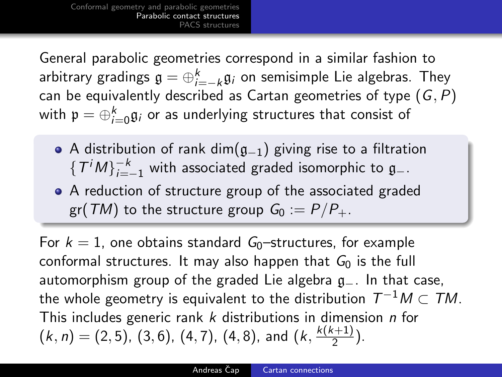General parabolic geometries correspond in a similar fashion to arbitrary gradings  $\mathfrak{g}=\oplus_{i=-k}^k\mathfrak{g}_i$  on semisimple Lie algebras. They can be equivalently described as Cartan geometries of type  $(G, P)$ with  $\mathfrak{p}=\oplus_{i=0}^k\mathfrak{g}_i$  or as underlying structures that consist of

- A distribution of rank dim( $g_{-1}$ ) giving rise to a filtration  $\{T^{i}M\}_{i=-1}^{-k}$  with associated graded isomorphic to  $\mathfrak{g}_{-}.$
- A reduction of structure group of the associated graded gr(TM) to the structure group  $G_0 := P/P_+$ .

For  $k = 1$ , one obtains standard  $G_0$ -structures, for example conformal structures. It may also happen that  $G_0$  is the full automorphism group of the graded Lie algebra g<sub>−</sub>. In that case, the whole geometry is equivalent to the distribution  $\, T^{-1} M \subset T M . \,$ This includes generic rank k distributions in dimension n for  $(k, n) = (2, 5), (3, 6), (4, 7), (4, 8),$  and  $(k, \frac{k(k+1)}{2})$  $\frac{(+1)}{2}$ ).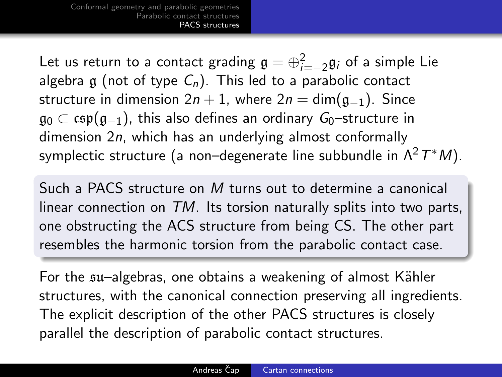<span id="page-12-0"></span>Let us return to a contact grading  $\mathfrak{g}=\oplus_{i=-2}^2\mathfrak{g}_i$  of a simple Lie algebra g (not of type  $C_n$ ). This led to a parabolic contact structure in dimension  $2n + 1$ , where  $2n = \dim(\mathfrak{g}_{-1})$ . Since  $\mathfrak{g}_0 \subset \mathfrak{csp}(\mathfrak{g}_{-1})$ , this also defines an ordinary  $G_0$ –structure in dimension 2n, which has an underlying almost conformally symplectic structure (a non–degenerate line subbundle in  $\Lambda^2\, T^*M).$ 

Such a PACS structure on M turns out to determine a canonical linear connection on TM. Its torsion naturally splits into two parts, one obstructing the ACS structure from being CS. The other part resembles the harmonic torsion from the parabolic contact case.

For the su–algebras, one obtains a weakening of almost Kähler structures, with the canonical connection preserving all ingredients. The explicit description of the other PACS structures is closely parallel the description of parabolic contact structures.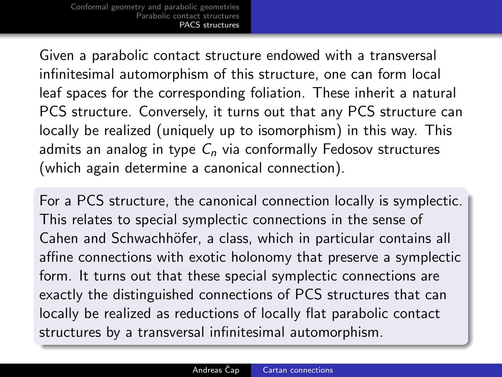Given a parabolic contact structure endowed with a transversal infinitesimal automorphism of this structure, one can form local leaf spaces for the corresponding foliation. These inherit a natural PCS structure. Conversely, it turns out that any PCS structure can locally be realized (uniquely up to isomorphism) in this way. This admits an analog in type  $C_n$  via conformally Fedosov structures (which again determine a canonical connection).

For a PCS structure, the canonical connection locally is symplectic. This relates to special symplectic connections in the sense of Cahen and Schwachhöfer, a class, which in particular contains all affine connections with exotic holonomy that preserve a symplectic form. It turns out that these special symplectic connections are exactly the distinguished connections of PCS structures that can locally be realized as reductions of locally flat parabolic contact structures by a transversal infinitesimal automorphism.